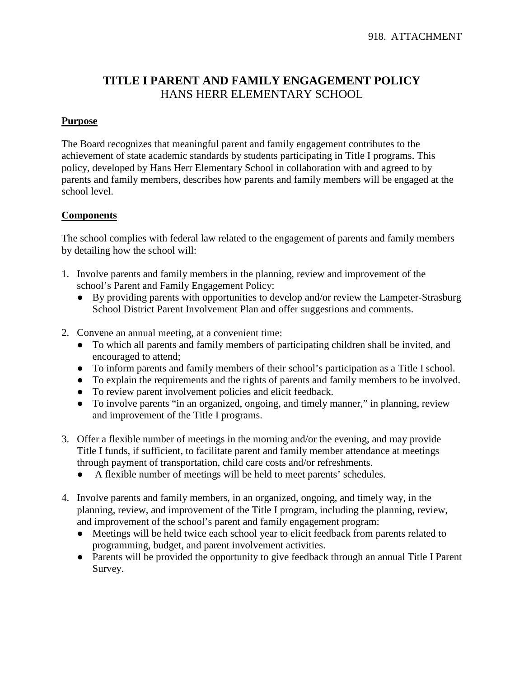## **TITLE I PARENT AND FAMILY ENGAGEMENT POLICY** HANS HERR ELEMENTARY SCHOOL

## **Purpose**

The Board recognizes that meaningful parent and family engagement contributes to the achievement of state academic standards by students participating in Title I programs. This policy, developed by Hans Herr Elementary School in collaboration with and agreed to by parents and family members, describes how parents and family members will be engaged at the school level.

## **Components**

The school complies with federal law related to the engagement of parents and family members by detailing how the school will:

- 1. Involve parents and family members in the planning, review and improvement of the school's Parent and Family Engagement Policy:
	- By providing parents with opportunities to develop and/or review the Lampeter-Strasburg School District Parent Involvement Plan and offer suggestions and comments.
- 2. Convene an annual meeting, at a convenient time:
	- To which all parents and family members of participating children shall be invited, and encouraged to attend;
	- To inform parents and family members of their school's participation as a Title I school.
	- To explain the requirements and the rights of parents and family members to be involved.
	- To review parent involvement policies and elicit feedback.
	- To involve parents "in an organized, ongoing, and timely manner," in planning, review and improvement of the Title I programs.
- 3. Offer a flexible number of meetings in the morning and/or the evening, and may provide Title I funds, if sufficient, to facilitate parent and family member attendance at meetings through payment of transportation, child care costs and/or refreshments.
	- A flexible number of meetings will be held to meet parents' schedules.
- 4. Involve parents and family members, in an organized, ongoing, and timely way, in the planning, review, and improvement of the Title I program, including the planning, review, and improvement of the school's parent and family engagement program:
	- Meetings will be held twice each school year to elicit feedback from parents related to programming, budget, and parent involvement activities.
	- Parents will be provided the opportunity to give feedback through an annual Title I Parent Survey.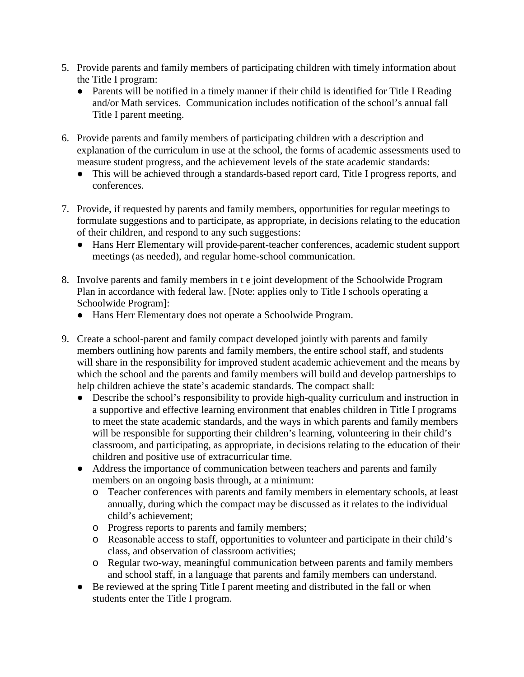- 5. Provide parents and family members of participating children with timely information about the Title I program:
	- Parents will be notified in a timely manner if their child is identified for Title I Reading and/or Math services. Communication includes notification of the school's annual fall Title I parent meeting.
- 6. Provide parents and family members of participating children with a description and explanation of the curriculum in use at the school, the forms of academic assessments used to measure student progress, and the achievement levels of the state academic standards:
	- This will be achieved through a standards-based report card, Title I progress reports, and conferences.
- 7. Provide, if requested by parents and family members, opportunities for regular meetings to formulate suggestions and to participate, as appropriate, in decisions relating to the education of their children, and respond to any such suggestions:
	- Hans Herr Elementary will provide parent-teacher conferences, academic student support meetings (as needed), and regular home-school communication.
- 8. Involve parents and family members in t e joint development of the Schoolwide Program Plan in accordance with federal law. [Note: applies only to Title I schools operating a Schoolwide Program]:
	- Hans Herr Elementary does not operate a Schoolwide Program.
- 9. Create a school-parent and family compact developed jointly with parents and family members outlining how parents and family members, the entire school staff, and students will share in the responsibility for improved student academic achievement and the means by which the school and the parents and family members will build and develop partnerships to help children achieve the state's academic standards. The compact shall:
	- Describe the school's responsibility to provide high-quality curriculum and instruction in a supportive and effective learning environment that enables children in Title I programs to meet the state academic standards, and the ways in which parents and family members will be responsible for supporting their children's learning, volunteering in their child's classroom, and participating, as appropriate, in decisions relating to the education of their children and positive use of extracurricular time.
	- Address the importance of communication between teachers and parents and family members on an ongoing basis through, at a minimum:
		- o Teacher conferences with parents and family members in elementary schools, at least annually, during which the compact may be discussed as it relates to the individual child's achievement;
		- o Progress reports to parents and family members;
		- o Reasonable access to staff, opportunities to volunteer and participate in their child's class, and observation of classroom activities;
		- o Regular two-way, meaningful communication between parents and family members and school staff, in a language that parents and family members can understand.
	- Be reviewed at the spring Title I parent meeting and distributed in the fall or when students enter the Title I program.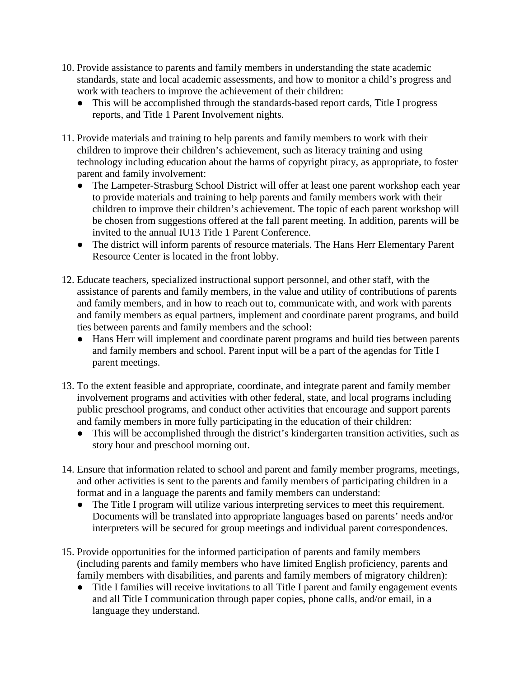- 10. Provide assistance to parents and family members in understanding the state academic standards, state and local academic assessments, and how to monitor a child's progress and work with teachers to improve the achievement of their children:
	- This will be accomplished through the standards-based report cards, Title I progress reports, and Title 1 Parent Involvement nights.
- 11. Provide materials and training to help parents and family members to work with their children to improve their children's achievement, such as literacy training and using technology including education about the harms of copyright piracy, as appropriate, to foster parent and family involvement:
	- The Lampeter-Strasburg School District will offer at least one parent workshop each year to provide materials and training to help parents and family members work with their children to improve their children's achievement. The topic of each parent workshop will be chosen from suggestions offered at the fall parent meeting. In addition, parents will be invited to the annual IU13 Title 1 Parent Conference.
	- The district will inform parents of resource materials. The Hans Herr Elementary Parent Resource Center is located in the front lobby.
- 12. Educate teachers, specialized instructional support personnel, and other staff, with the assistance of parents and family members, in the value and utility of contributions of parents and family members, and in how to reach out to, communicate with, and work with parents and family members as equal partners, implement and coordinate parent programs, and build ties between parents and family members and the school:
	- Hans Herr will implement and coordinate parent programs and build ties between parents and family members and school. Parent input will be a part of the agendas for Title I parent meetings.
- 13. To the extent feasible and appropriate, coordinate, and integrate parent and family member involvement programs and activities with other federal, state, and local programs including public preschool programs, and conduct other activities that encourage and support parents and family members in more fully participating in the education of their children:
	- This will be accomplished through the district's kindergarten transition activities, such as story hour and preschool morning out.
- 14. Ensure that information related to school and parent and family member programs, meetings, and other activities is sent to the parents and family members of participating children in a format and in a language the parents and family members can understand:
	- The Title I program will utilize various interpreting services to meet this requirement. Documents will be translated into appropriate languages based on parents' needs and/or interpreters will be secured for group meetings and individual parent correspondences.
- 15. Provide opportunities for the informed participation of parents and family members (including parents and family members who have limited English proficiency, parents and family members with disabilities, and parents and family members of migratory children):
	- Title I families will receive invitations to all Title I parent and family engagement events and all Title I communication through paper copies, phone calls, and/or email, in a language they understand.